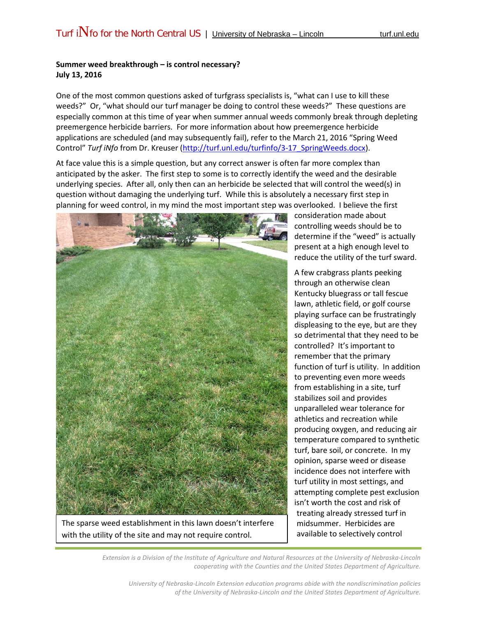## **Summer weed breakthrough – is control necessary? July 13, 2016**

One of the most common questions asked of turfgrass specialists is, "what can I use to kill these weeds?" Or, "what should our turf manager be doing to control these weeds?" These questions are especially common at this time of year when summer annual weeds commonly break through depleting preemergence herbicide barriers. For more information about how preemergence herbicide applications are scheduled (and may subsequently fail), refer to the March 21, 2016 "Spring Weed Control" *Turf iNfo* from Dr. Kreuser [\(http://turf.unl.edu/turfinfo/3-17\\_SpringWeeds.docx\)](http://turf.unl.edu/turfinfo/3-17_SpringWeeds.docx).

At face value this is a simple question, but any correct answer is often far more complex than anticipated by the asker. The first step to some is to correctly identify the weed and the desirable underlying species. After all, only then can an herbicide be selected that will control the weed(s) in question without damaging the underlying turf. While this is absolutely a necessary first step in planning for weed control, in my mind the most important step was overlooked. I believe the first



The sparse weed establishment in this lawn doesn't interfere with the utility of the site and may not require control.

consideration made about controlling weeds should be to determine if the "weed" is actually present at a high enough level to reduce the utility of the turf sward.

A few crabgrass plants peeking through an otherwise clean Kentucky bluegrass or tall fescue lawn, athletic field, or golf course playing surface can be frustratingly displeasing to the eye, but are they so detrimental that they need to be controlled? It's important to remember that the primary function of turf is utility. In addition to preventing even more weeds from establishing in a site, turf stabilizes soil and provides unparalleled wear tolerance for athletics and recreation while producing oxygen, and reducing air temperature compared to synthetic turf, bare soil, or concrete. In my opinion, sparse weed or disease incidence does not interfere with turf utility in most settings, and attempting complete pest exclusion isn't worth the cost and risk of treating already stressed turf in midsummer. Herbicides are available to selectively control

*Extension is a Division of the Institute of Agriculture and Natural Resources at the University of Nebraska-Lincoln cooperating with the Counties and the United States Department of Agriculture.*

*University of Nebraska-Lincoln Extension education programs abide with the nondiscrimination policies of the University of Nebraska-Lincoln and the United States Department of Agriculture.*